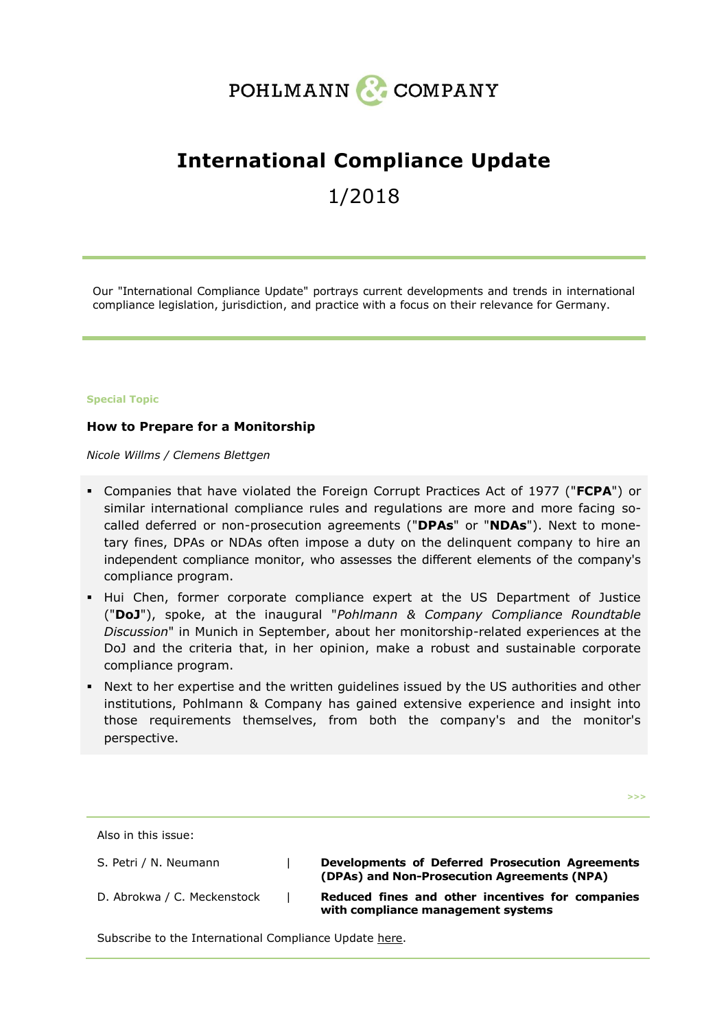

# **International Compliance Update**

1/2018

Our "International Compliance Update" portrays current developments and trends in international compliance legislation, jurisdiction, and practice with a focus on their relevance for Germany.

#### **Special Topic**

## **How to Prepare for a Monitorship**

*Nicole Willms / Clemens Blettgen*

- Companies that have violated the Foreign Corrupt Practices Act of 1977 ("**FCPA**") or similar international compliance rules and regulations are more and more facing socalled deferred or non-prosecution agreements ("**DPAs**" or "**NDAs**"). Next to monetary fines, DPAs or NDAs often impose a duty on the delinquent company to hire an independent compliance monitor, who assesses the different elements of the company's compliance program.
- Hui Chen, former corporate compliance expert at the US Department of Justice ("**DoJ**"), spoke, at the inaugural "*Pohlmann & Company Compliance Roundtable Discussion*" in Munich in September, about her monitorship-related experiences at the DoJ and the criteria that, in her opinion, make a robust and sustainable corporate compliance program.
- Next to her expertise and the written guidelines issued by the US authorities and other institutions, Pohlmann & Company has gained extensive experience and insight into those requirements themselves, from both the company's and the monitor's perspective.

**>>>**

Also in this issue: S. Petri / N. Neumann **| Developments of Deferred Prosecution Agreements [\(DPAs\) and Non-Prosecution Agreements \(NPA\)](#page-9-0)** D. Abrokwa / C. Meckenstock | **Reduced fines and other incentives for companies [with compliance management systems](#page-13-0)**

Subscribe to the International Compliance Update [here.](http://www.pohlmann-company.com/subscription)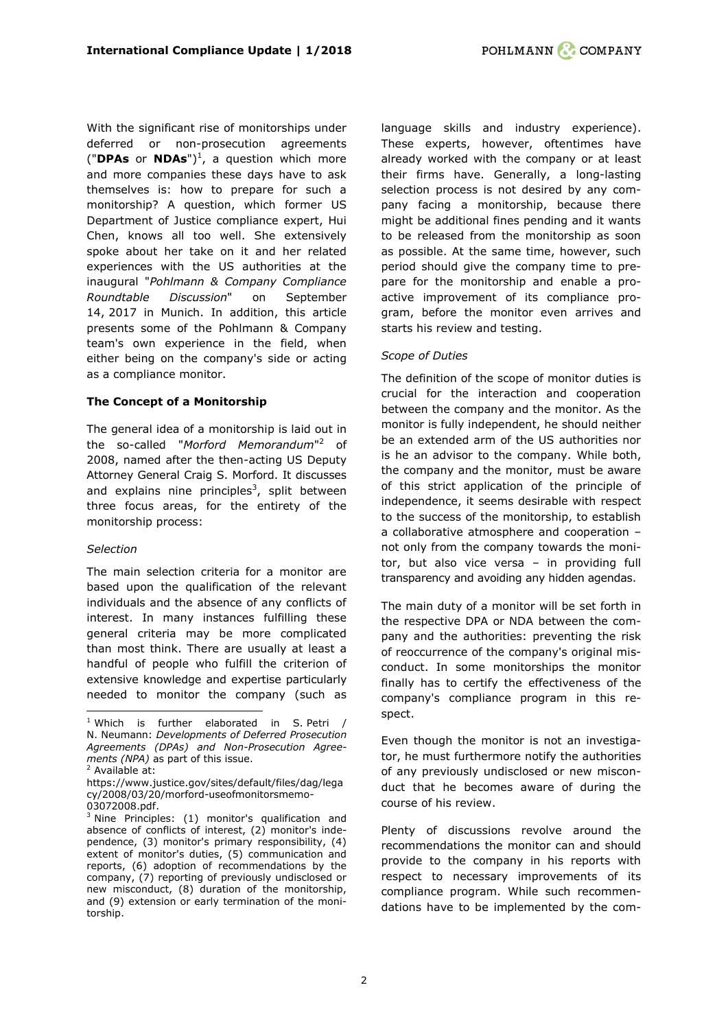With the significant rise of monitorships under deferred or non-prosecution agreements ("**DPAs** or **NDAs**") 1 , a question which more and more companies these days have to ask themselves is: how to prepare for such a monitorship? A question, which former US Department of Justice compliance expert, Hui Chen, knows all too well. She extensively spoke about her take on it and her related experiences with the US authorities at the inaugural "*Pohlmann & Company Compliance Roundtable Discussion*" on September 14, 2017 in Munich. In addition, this article presents some of the Pohlmann & Company team's own experience in the field, when either being on the company's side or acting as a compliance monitor.

## **The Concept of a Monitorship**

The general idea of a monitorship is laid out in the so-called "*Morford Memorandum*" <sup>2</sup> of 2008, named after the then-acting US Deputy Attorney General Craig S. Morford. It discusses and explains nine principles<sup>3</sup>, split between three focus areas, for the entirety of the monitorship process:

## *Selection*

The main selection criteria for a monitor are based upon the qualification of the relevant individuals and the absence of any conflicts of interest. In many instances fulfilling these general criteria may be more complicated than most think. There are usually at least a handful of people who fulfill the criterion of extensive knowledge and expertise particularly needed to monitor the company (such as

ł

language skills and industry experience). These experts, however, oftentimes have already worked with the company or at least their firms have. Generally, a long-lasting selection process is not desired by any company facing a monitorship, because there might be additional fines pending and it wants to be released from the monitorship as soon as possible. At the same time, however, such period should give the company time to prepare for the monitorship and enable a proactive improvement of its compliance program, before the monitor even arrives and starts his review and testing.

## *Scope of Duties*

The definition of the scope of monitor duties is crucial for the interaction and cooperation between the company and the monitor. As the monitor is fully independent, he should neither be an extended arm of the US authorities nor is he an advisor to the company. While both, the company and the monitor, must be aware of this strict application of the principle of independence, it seems desirable with respect to the success of the monitorship, to establish a collaborative atmosphere and cooperation – not only from the company towards the monitor, but also vice versa – in providing full transparency and avoiding any hidden agendas.

The main duty of a monitor will be set forth in the respective DPA or NDA between the company and the authorities: preventing the risk of reoccurrence of the company's original misconduct. In some monitorships the monitor finally has to certify the effectiveness of the company's compliance program in this respect.

Even though the monitor is not an investigator, he must furthermore notify the authorities of any previously undisclosed or new misconduct that he becomes aware of during the course of his review.

Plenty of discussions revolve around the recommendations the monitor can and should provide to the company in his reports with respect to necessary improvements of its compliance program. While such recommendations have to be implemented by the com-

<sup>&</sup>lt;sup>1</sup> Which is further elaborated in S. Petri / N. Neumann: *[Developments of Deferred Prosecution](#page-9-0)  [Agreements \(DPAs\) and Non-Prosecution Agree](#page-9-0)[ments \(NPA\)](#page-9-0)* as part of this issue.

<sup>2</sup> Available at:

[https://www.justice.gov/sites/default/files/dag/lega](https://www.justice.gov/sites/default/files/dag/legacy/2008/03/20/morford-useofmonitorsmemo-03072008.pdf) [cy/2008/03/20/morford-useofmonitorsmemo-](https://www.justice.gov/sites/default/files/dag/legacy/2008/03/20/morford-useofmonitorsmemo-03072008.pdf)[03072008.pdf.](https://www.justice.gov/sites/default/files/dag/legacy/2008/03/20/morford-useofmonitorsmemo-03072008.pdf)

 $3$  Nine Principles: (1) monitor's qualification and absence of conflicts of interest, (2) monitor's independence, (3) monitor's primary responsibility, (4) extent of monitor's duties, (5) communication and reports, (6) adoption of recommendations by the company, (7) reporting of previously undisclosed or new misconduct, (8) duration of the monitorship, and (9) extension or early termination of the monitorship.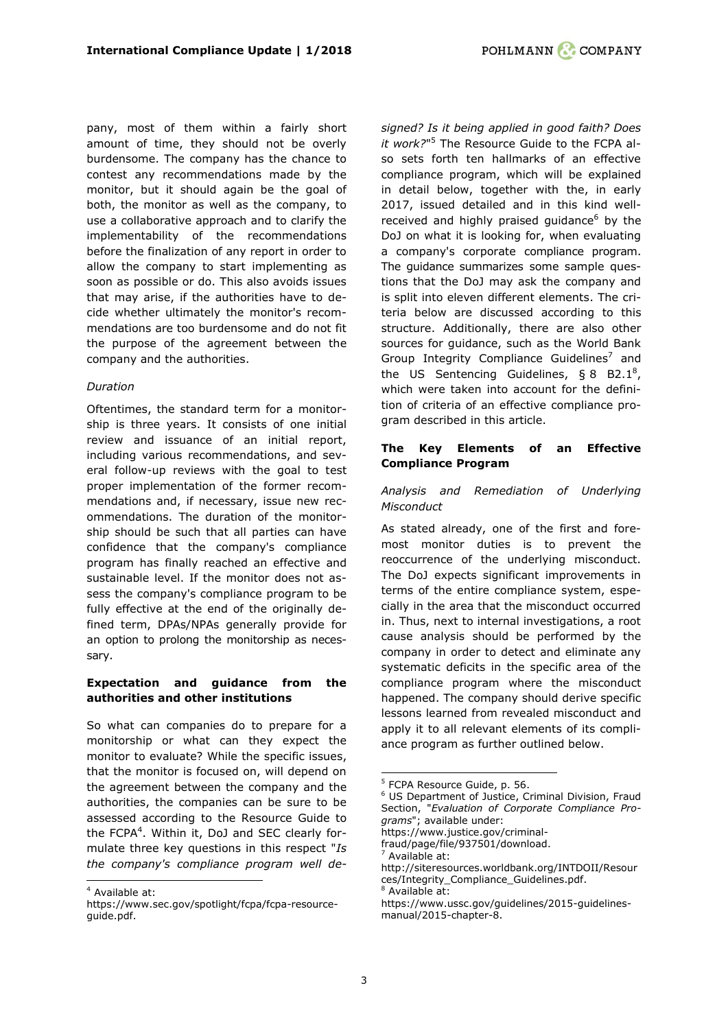pany, most of them within a fairly short amount of time, they should not be overly burdensome. The company has the chance to contest any recommendations made by the monitor, but it should again be the goal of both, the monitor as well as the company, to use a collaborative approach and to clarify the implementability of the recommendations before the finalization of any report in order to allow the company to start implementing as soon as possible or do. This also avoids issues that may arise, if the authorities have to decide whether ultimately the monitor's recommendations are too burdensome and do not fit the purpose of the agreement between the company and the authorities.

#### *Duration*

Oftentimes, the standard term for a monitorship is three years. It consists of one initial review and issuance of an initial report, including various recommendations, and several follow-up reviews with the goal to test proper implementation of the former recommendations and, if necessary, issue new recommendations. The duration of the monitorship should be such that all parties can have confidence that the company's compliance program has finally reached an effective and sustainable level. If the monitor does not assess the company's compliance program to be fully effective at the end of the originally defined term, DPAs/NPAs generally provide for an option to prolong the monitorship as necessary.

## **Expectation and guidance from the authorities and other institutions**

So what can companies do to prepare for a monitorship or what can they expect the monitor to evaluate? While the specific issues, that the monitor is focused on, will depend on the agreement between the company and the authorities, the companies can be sure to be assessed according to the Resource Guide to the FCPA<sup>4</sup>. Within it, DoJ and SEC clearly formulate three key questions in this respect "*Is the company's compliance program well de-*

ł

*signed? Is it being applied in good faith? Does it work?*" <sup>5</sup> The Resource Guide to the FCPA also sets forth ten hallmarks of an effective compliance program, which will be explained in detail below, together with the, in early 2017, issued detailed and in this kind wellreceived and highly praised guidance $6$  by the DoJ on what it is looking for, when evaluating a company's corporate compliance program. The guidance summarizes some sample questions that the DoJ may ask the company and is split into eleven different elements. The criteria below are discussed according to this structure. Additionally, there are also other sources for guidance, such as the World Bank Group Integrity Compliance Guidelines<sup>7</sup> and the US Sentencing Guidelines,  $\S 8$  B2.1<sup>8</sup>, which were taken into account for the definition of criteria of an effective compliance program described in this article.

## **The Key Elements of an Effective Compliance Program**

## *Analysis and Remediation of Underlying Misconduct*

As stated already, one of the first and foremost monitor duties is to prevent the reoccurrence of the underlying misconduct. The DoJ expects significant improvements in terms of the entire compliance system, especially in the area that the misconduct occurred in. Thus, next to internal investigations, a root cause analysis should be performed by the company in order to detect and eliminate any systematic deficits in the specific area of the compliance program where the misconduct happened. The company should derive specific lessons learned from revealed misconduct and apply it to all relevant elements of its compliance program as further outlined below.

<sup>4</sup> Available at:

https://www.sec.gov/spotlight/fcpa/fcpa-resourceguide.pdf.

<sup>5</sup> FCPA Resource Guide, p. 56.

<sup>6</sup> US Department of Justice, Criminal Division, Fraud Section, "*Evaluation of Corporate Compliance Programs*"; available under:

https://www.justice.gov/criminalfraud/page/file/937501/download.

Available at:

http://siteresources.worldbank.org/INTDOII/Resour ces/Integrity\_Compliance\_Guidelines.pdf.

Available at:

https://www.ussc.gov/guidelines/2015-guidelinesmanual/2015-chapter-8.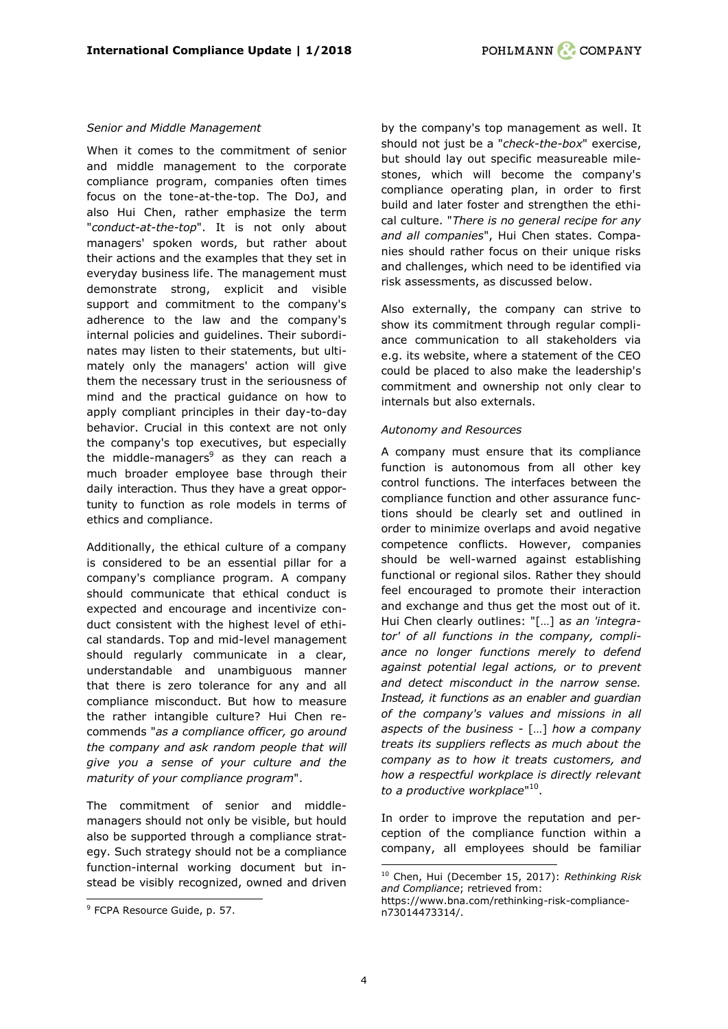## *Senior and Middle Management*

When it comes to the commitment of senior and middle management to the corporate compliance program, companies often times focus on the tone-at-the-top. The DoJ, and also Hui Chen, rather emphasize the term "*conduct-at-the-top*". It is not only about managers' spoken words, but rather about their actions and the examples that they set in everyday business life. The management must demonstrate strong, explicit and visible support and commitment to the company's adherence to the law and the company's internal policies and guidelines. Their subordinates may listen to their statements, but ultimately only the managers' action will give them the necessary trust in the seriousness of mind and the practical guidance on how to apply compliant principles in their day-to-day behavior. Crucial in this context are not only the company's top executives, but especially the middle-managers $9$  as they can reach a much broader employee base through their daily interaction. Thus they have a great opportunity to function as role models in terms of ethics and compliance.

Additionally, the ethical culture of a company is considered to be an essential pillar for a company's compliance program. A company should communicate that ethical conduct is expected and encourage and incentivize conduct consistent with the highest level of ethical standards. Top and mid-level management should regularly communicate in a clear, understandable and unambiguous manner that there is zero tolerance for any and all compliance misconduct. But how to measure the rather intangible culture? Hui Chen recommends "*as a compliance officer, go around the company and ask random people that will give you a sense of your culture and the maturity of your compliance program*".

The commitment of senior and middlemanagers should not only be visible, but hould also be supported through a compliance strategy. Such strategy should not be a compliance function-internal working document but instead be visibly recognized, owned and driven

ł

by the company's top management as well. It should not just be a "*check-the-box*" exercise, but should lay out specific measureable milestones, which will become the company's compliance operating plan, in order to first build and later foster and strengthen the ethical culture. "*There is no general recipe for any and all companies*", Hui Chen states. Companies should rather focus on their unique risks and challenges, which need to be identified via risk assessments, as discussed below.

Also externally, the company can strive to show its commitment through regular compliance communication to all stakeholders via e.g. its website, where a statement of the CEO could be placed to also make the leadership's commitment and ownership not only clear to internals but also externals.

## *Autonomy and Resources*

A company must ensure that its compliance function is autonomous from all other key control functions. The interfaces between the compliance function and other assurance functions should be clearly set and outlined in order to minimize overlaps and avoid negative competence conflicts. However, companies should be well-warned against establishing functional or regional silos. Rather they should feel encouraged to promote their interaction and exchange and thus get the most out of it. Hui Chen clearly outlines: "[…] a*s an 'integrator' of all functions in the company, compliance no longer functions merely to defend against potential legal actions, or to prevent and detect misconduct in the narrow sense. Instead, it functions as an enabler and guardian of the company's values and missions in all aspects of the business -* […] *how a company treats its suppliers reflects as much about the company as to how it treats customers, and how a respectful workplace is directly relevant to a productive workplace*" 10 .

In order to improve the reputation and perception of the compliance function within a company, all employees should be familiar

<sup>&</sup>lt;sup>9</sup> FCPA Resource Guide, p. 57.

<sup>-</sup><sup>10</sup> Chen, Hui (December 15, 2017): *Rethinking Risk and Compliance*; retrieved from:

https://www.bna.com/rethinking-risk-compliancen73014473314/.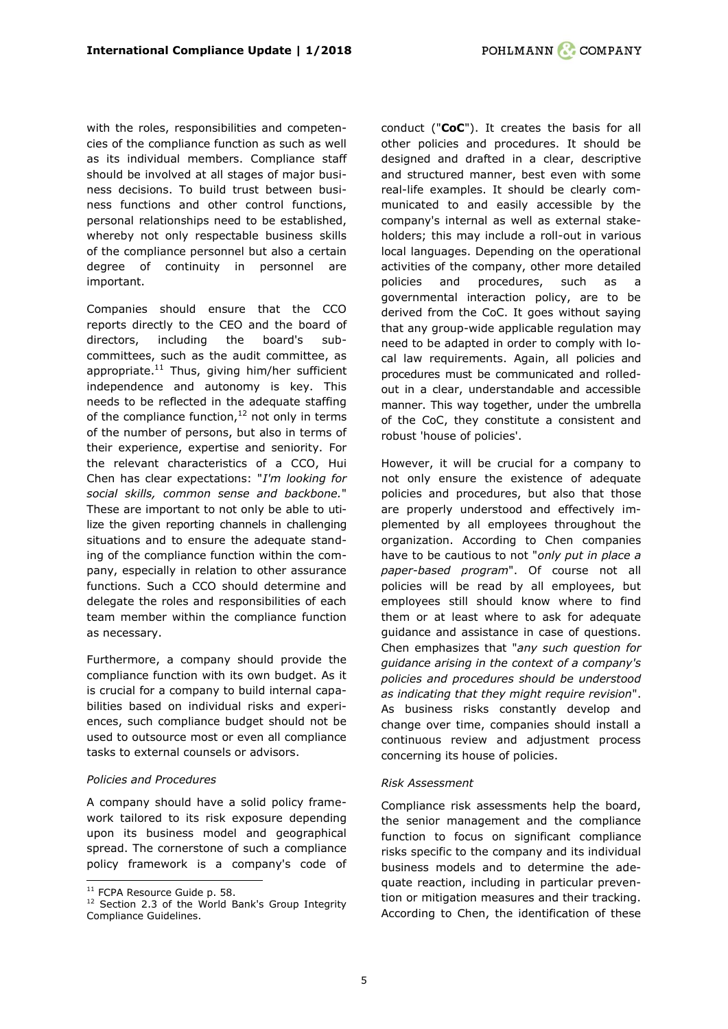with the roles, responsibilities and competencies of the compliance function as such as well as its individual members. Compliance staff should be involved at all stages of major business decisions. To build trust between business functions and other control functions, personal relationships need to be established, whereby not only respectable business skills of the compliance personnel but also a certain degree of continuity in personnel are important.

Companies should ensure that the CCO reports directly to the CEO and the board of directors, including the board's subcommittees, such as the audit committee, as appropriate. $^{11}$  Thus, giving him/her sufficient independence and autonomy is key. This needs to be reflected in the adequate staffing of the compliance function, $^{12}$  not only in terms of the number of persons, but also in terms of their experience, expertise and seniority. For the relevant characteristics of a CCO, Hui Chen has clear expectations: "*I'm looking for social skills, common sense and backbone.*" These are important to not only be able to utilize the given reporting channels in challenging situations and to ensure the adequate standing of the compliance function within the company, especially in relation to other assurance functions. Such a CCO should determine and delegate the roles and responsibilities of each team member within the compliance function as necessary.

Furthermore, a company should provide the compliance function with its own budget. As it is crucial for a company to build internal capabilities based on individual risks and experiences, such compliance budget should not be used to outsource most or even all compliance tasks to external counsels or advisors.

## *Policies and Procedures*

A company should have a solid policy framework tailored to its risk exposure depending upon its business model and geographical spread. The cornerstone of such a compliance policy framework is a company's code of

ł

conduct ("**CoC**"). It creates the basis for all other policies and procedures. It should be designed and drafted in a clear, descriptive and structured manner, best even with some real-life examples. It should be clearly communicated to and easily accessible by the company's internal as well as external stakeholders; this may include a roll-out in various local languages. Depending on the operational activities of the company, other more detailed policies and procedures, such as a governmental interaction policy, are to be derived from the CoC. It goes without saying that any group-wide applicable regulation may need to be adapted in order to comply with local law requirements. Again, all policies and procedures must be communicated and rolledout in a clear, understandable and accessible manner. This way together, under the umbrella of the CoC, they constitute a consistent and robust 'house of policies'.

However, it will be crucial for a company to not only ensure the existence of adequate policies and procedures, but also that those are properly understood and effectively implemented by all employees throughout the organization. According to Chen companies have to be cautious to not "*only put in place a paper-based program*". Of course not all policies will be read by all employees, but employees still should know where to find them or at least where to ask for adequate guidance and assistance in case of questions. Chen emphasizes that "*any such question for guidance arising in the context of a company's policies and procedures should be understood as indicating that they might require revision*". As business risks constantly develop and change over time, companies should install a continuous review and adjustment process concerning its house of policies.

#### *Risk Assessment*

Compliance risk assessments help the board, the senior management and the compliance function to focus on significant compliance risks specific to the company and its individual business models and to determine the adequate reaction, including in particular prevention or mitigation measures and their tracking. According to Chen, the identification of these

 $11$  FCPA Resource Guide p. 58.

<sup>&</sup>lt;sup>12</sup> Section 2.3 of the World Bank's Group Integrity Compliance Guidelines.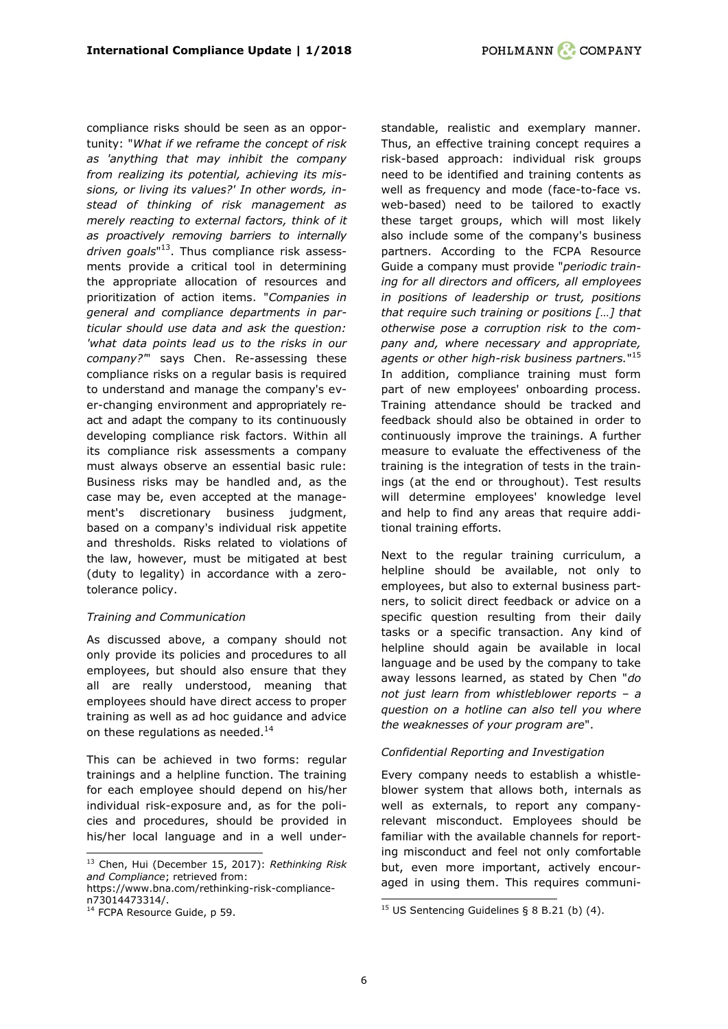compliance risks should be seen as an opportunity: "*What if we reframe the concept of risk as 'anything that may inhibit the company from realizing its potential, achieving its missions, or living its values?' In other words, instead of thinking of risk management as merely reacting to external factors, think of it as proactively removing barriers to internally driven goals*" <sup>13</sup>. Thus compliance risk assessments provide a critical tool in determining the appropriate allocation of resources and prioritization of action items. "*Companies in general and compliance departments in particular should use data and ask the question: 'what data points lead us to the risks in our company?'*" says Chen. Re-assessing these compliance risks on a regular basis is required to understand and manage the company's ever-changing environment and appropriately react and adapt the company to its continuously developing compliance risk factors. Within all its compliance risk assessments a company must always observe an essential basic rule: Business risks may be handled and, as the case may be, even accepted at the management's discretionary business judgment, based on a company's individual risk appetite and thresholds. Risks related to violations of the law, however, must be mitigated at best (duty to legality) in accordance with a zerotolerance policy.

## *Training and Communication*

As discussed above, a company should not only provide its policies and procedures to all employees, but should also ensure that they all are really understood, meaning that employees should have direct access to proper training as well as ad hoc guidance and advice on these regulations as needed. $14$ 

This can be achieved in two forms: regular trainings and a helpline function. The training for each employee should depend on his/her individual risk-exposure and, as for the policies and procedures, should be provided in his/her local language and in a well under-

https://www.bna.com/rethinking-risk-compliancen73014473314/.

standable, realistic and exemplary manner. Thus, an effective training concept requires a risk-based approach: individual risk groups need to be identified and training contents as well as frequency and mode (face-to-face vs. web-based) need to be tailored to exactly these target groups, which will most likely also include some of the company's business partners. According to the FCPA Resource Guide a company must provide "*periodic training for all directors and officers, all employees in positions of leadership or trust, positions that require such training or positions […] that otherwise pose a corruption risk to the company and, where necessary and appropriate, agents or other high-risk business partners.*" 15 In addition, compliance training must form part of new employees' onboarding process. Training attendance should be tracked and feedback should also be obtained in order to continuously improve the trainings. A further measure to evaluate the effectiveness of the training is the integration of tests in the trainings (at the end or throughout). Test results will determine employees' knowledge level and help to find any areas that require additional training efforts.

Next to the regular training curriculum, a helpline should be available, not only to employees, but also to external business partners, to solicit direct feedback or advice on a specific question resulting from their daily tasks or a specific transaction. Any kind of helpline should again be available in local language and be used by the company to take away lessons learned, as stated by Chen "*do not just learn from whistleblower reports – a question on a hotline can also tell you where the weaknesses of your program are*".

## *Confidential Reporting and Investigation*

Every company needs to establish a whistleblower system that allows both, internals as well as externals, to report any companyrelevant misconduct. Employees should be familiar with the available channels for reporting misconduct and feel not only comfortable but, even more important, actively encouraged in using them. This requires communi-

ł <sup>13</sup> Chen, Hui (December 15, 2017): *Rethinking Risk and Compliance*; retrieved from:

<sup>&</sup>lt;sup>14</sup> FCPA Resource Guide, p 59.

<sup>-</sup><sup>15</sup> US Sentencing Guidelines § 8 B.21 (b) (4).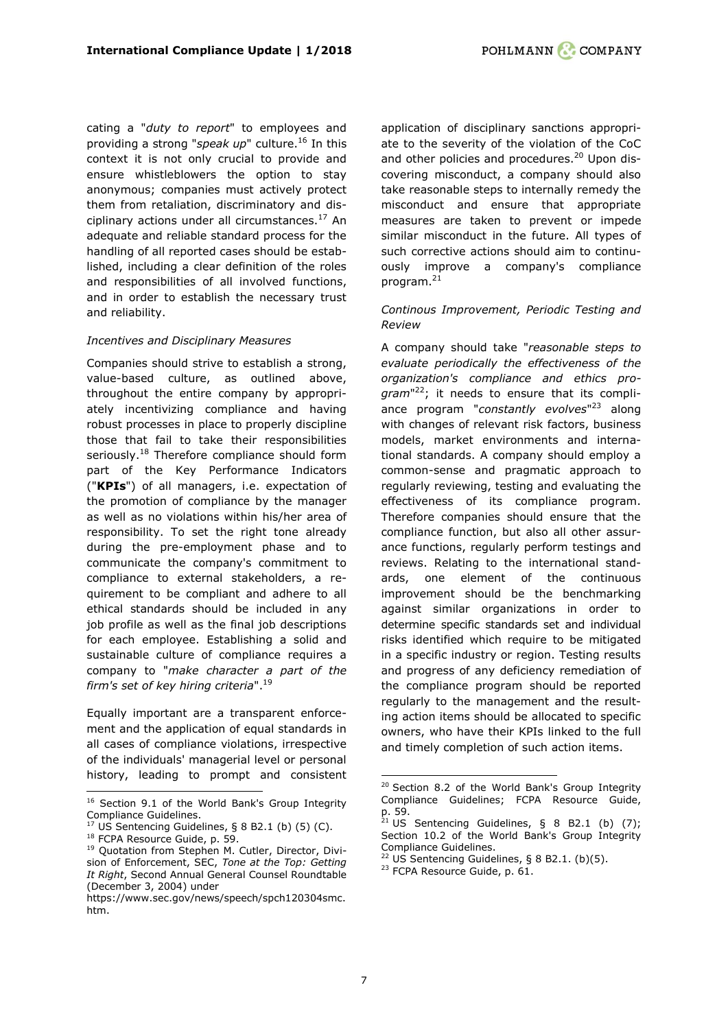cating a "*duty to report*" to employees and providing a strong "*speak up*" culture.<sup>16</sup> In this context it is not only crucial to provide and ensure whistleblowers the option to stay anonymous; companies must actively protect them from retaliation, discriminatory and disciplinary actions under all circumstances.<sup>17</sup> An adequate and reliable standard process for the handling of all reported cases should be established, including a clear definition of the roles and responsibilities of all involved functions, and in order to establish the necessary trust and reliability.

## *Incentives and Disciplinary Measures*

Companies should strive to establish a strong, value-based culture, as outlined above, throughout the entire company by appropriately incentivizing compliance and having robust processes in place to properly discipline those that fail to take their responsibilities seriously.<sup>18</sup> Therefore compliance should form part of the Key Performance Indicators ("**KPIs**") of all managers, i.e. expectation of the promotion of compliance by the manager as well as no violations within his/her area of responsibility. To set the right tone already during the pre-employment phase and to communicate the company's commitment to compliance to external stakeholders, a requirement to be compliant and adhere to all ethical standards should be included in any job profile as well as the final job descriptions for each employee. Establishing a solid and sustainable culture of compliance requires a company to "*make character a part of the firm's set of key hiring criteria*". 19

Equally important are a transparent enforcement and the application of equal standards in all cases of compliance violations, irrespective of the individuals' managerial level or personal history, leading to prompt and consistent

ł

application of disciplinary sanctions appropriate to the severity of the violation of the CoC and other policies and procedures.<sup>20</sup> Upon discovering misconduct, a company should also take reasonable steps to internally remedy the misconduct and ensure that appropriate measures are taken to prevent or impede similar misconduct in the future. All types of such corrective actions should aim to continuously improve a company's compliance program. 21

## *Continous Improvement, Periodic Testing and Review*

A company should take "*reasonable steps to evaluate periodically the effectiveness of the organization's compliance and ethics program*" <sup>22</sup>; it needs to ensure that its compliance program "*constantly evolves*" <sup>23</sup> along with changes of relevant risk factors, business models, market environments and international standards. A company should employ a common-sense and pragmatic approach to regularly reviewing, testing and evaluating the effectiveness of its compliance program. Therefore companies should ensure that the compliance function, but also all other assurance functions, regularly perform testings and reviews. Relating to the international standards, one element of the continuous improvement should be the benchmarking against similar organizations in order to determine specific standards set and individual risks identified which require to be mitigated in a specific industry or region. Testing results and progress of any deficiency remediation of the compliance program should be reported regularly to the management and the resulting action items should be allocated to specific owners, who have their KPIs linked to the full and timely completion of such action items.

<sup>&</sup>lt;sup>16</sup> Section 9.1 of the World Bank's Group Integrity Compliance Guidelines.

 $17$  US Sentencing Guidelines, § 8 B2.1 (b) (5) (C).

<sup>&</sup>lt;sup>18</sup> FCPA Resource Guide, p. 59.

<sup>19</sup> Quotation from Stephen M. Cutler, Director, Division of Enforcement, SEC, *Tone at the Top: Getting It Right*, Second Annual General Counsel Roundtable (December 3, 2004) under

https://www.sec.gov/news/speech/spch120304smc. htm.

 $20$  Section 8.2 of the World Bank's Group Integrity Compliance Guidelines; FCPA Resource Guide, p. 59.

<sup>&</sup>lt;sup>21</sup> US Sentencing Guidelines, § 8 B2.1 (b)  $(7)$ ; Section 10.2 of the World Bank's Group Integrity Compliance Guidelines.

 $22$  US Sentencing Guidelines, § 8 B2.1. (b)(5).

<sup>&</sup>lt;sup>23</sup> FCPA Resource Guide, p. 61.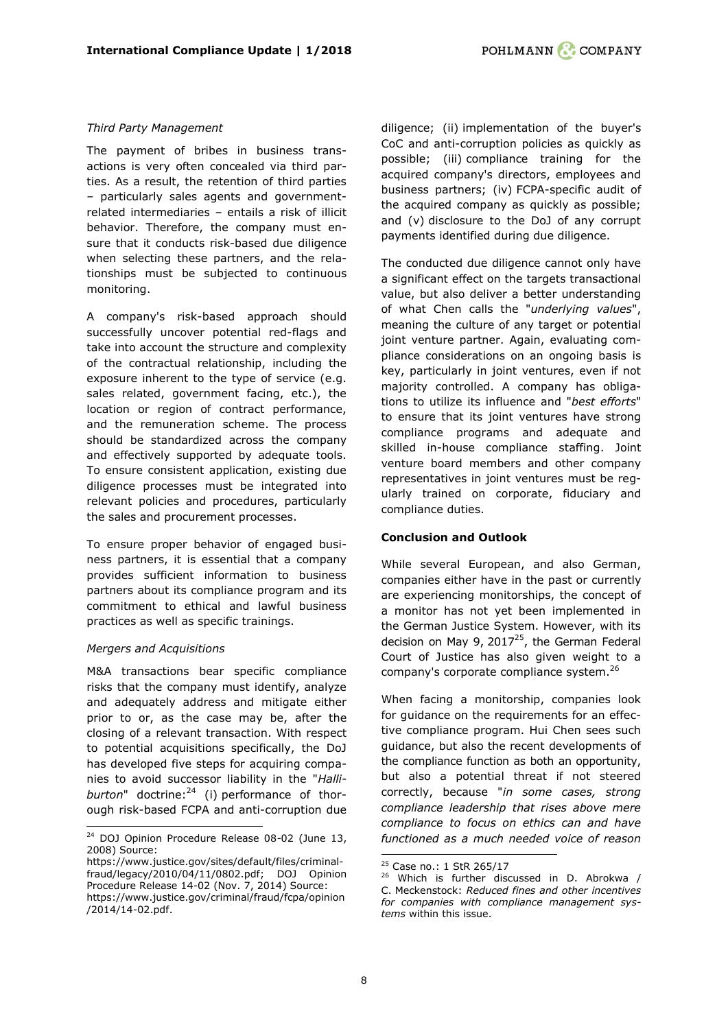#### *Third Party Management*

The payment of bribes in business transactions is very often concealed via third parties. As a result, the retention of third parties – particularly sales agents and governmentrelated intermediaries – entails a risk of illicit behavior. Therefore, the company must ensure that it conducts risk-based due diligence when selecting these partners, and the relationships must be subjected to continuous monitoring.

A company's risk-based approach should successfully uncover potential red-flags and take into account the structure and complexity of the contractual relationship, including the exposure inherent to the type of service (e.g. sales related, government facing, etc.), the location or region of contract performance, and the remuneration scheme. The process should be standardized across the company and effectively supported by adequate tools. To ensure consistent application, existing due diligence processes must be integrated into relevant policies and procedures, particularly the sales and procurement processes.

To ensure proper behavior of engaged business partners, it is essential that a company provides sufficient information to business partners about its compliance program and its commitment to ethical and lawful business practices as well as specific trainings.

#### *Mergers and Acquisitions*

ł

M&A transactions bear specific compliance risks that the company must identify, analyze and adequately address and mitigate either prior to or, as the case may be, after the closing of a relevant transaction. With respect to potential acquisitions specifically, the DoJ has developed five steps for acquiring companies to avoid successor liability in the "*Halli*burton" doctrine:<sup>24</sup> (i) performance of thorough risk-based FCPA and anti-corruption due diligence; (ii) implementation of the buyer's CoC and anti-corruption policies as quickly as possible; (iii) compliance training for the acquired company's directors, employees and business partners; (iv) FCPA-specific audit of the acquired company as quickly as possible; and (v) disclosure to the DoJ of any corrupt payments identified during due diligence.

The conducted due diligence cannot only have a significant effect on the targets transactional value, but also deliver a better understanding of what Chen calls the "*underlying values*", meaning the culture of any target or potential joint venture partner. Again, evaluating compliance considerations on an ongoing basis is key, particularly in joint ventures, even if not majority controlled. A company has obligations to utilize its influence and "*best efforts*" to ensure that its joint ventures have strong compliance programs and adequate and skilled in-house compliance staffing. Joint venture board members and other company representatives in joint ventures must be regularly trained on corporate, fiduciary and compliance duties.

#### **Conclusion and Outlook**

While several European, and also German, companies either have in the past or currently are experiencing monitorships, the concept of a monitor has not yet been implemented in the German Justice System. However, with its decision on May 9, 2017 $^{25}$ , the German Federal Court of Justice has also given weight to a company's corporate compliance system. 26

When facing a monitorship, companies look for guidance on the requirements for an effective compliance program. Hui Chen sees such guidance, but also the recent developments of the compliance function as both an opportunity, but also a potential threat if not steered correctly, because "*in some cases, strong compliance leadership that rises above mere compliance to focus on ethics can and have functioned as a much needed voice of reason* 

 $24$  DOJ Opinion Procedure Release 08-02 (June 13, 2008) Source:

[https://www.justice.gov/sites/default/files/criminal](https://www.justice.gov/sites/default/files/criminal-fraud/legacy/2010/04/11/0802.pdf)[fraud/legacy/2010/04/11/0802.pdf;](https://www.justice.gov/sites/default/files/criminal-fraud/legacy/2010/04/11/0802.pdf) DOJ Opinion Procedure Release 14-02 (Nov. 7, 2014) Source: https://www.justice.gov/criminal/fraud/fcpa/opinion /2014/14-02.pdf.

<sup>&</sup>lt;sup>25</sup> Case no.: 1 StR 265/17

<sup>&</sup>lt;sup>26</sup> Which is further discussed in D. Abrokwa / C. Meckenstock: *[Reduced fines and other incentives](#page-13-0)  [for companies with compliance management sys](#page-13-0)[tems](#page-13-0)* within this issue.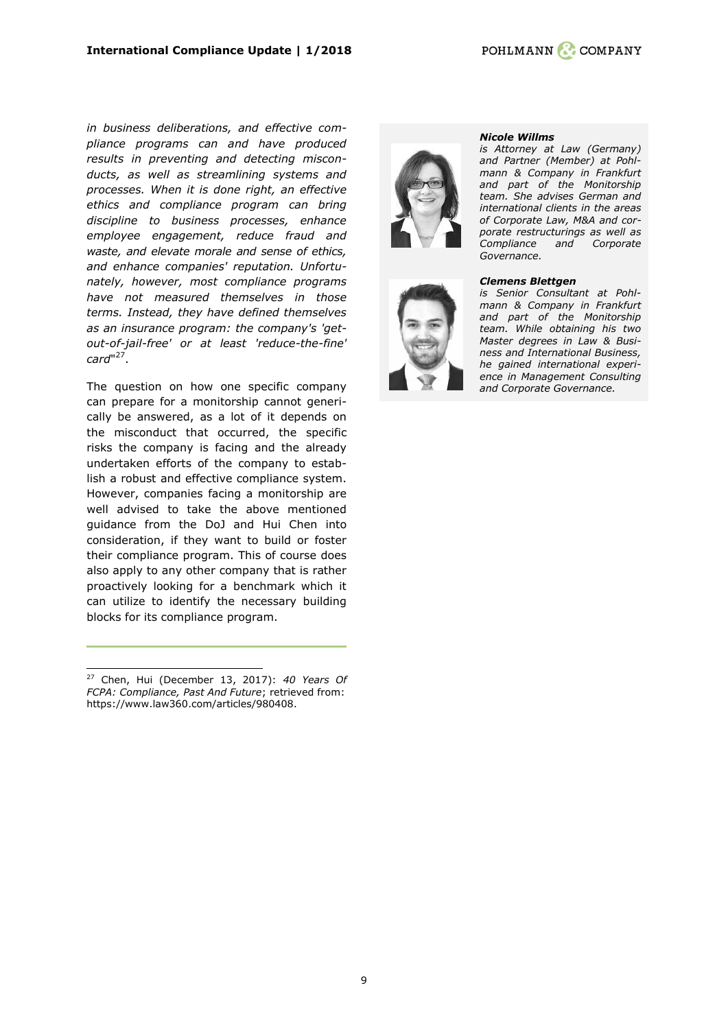*in business deliberations, and effective compliance programs can and have produced results in preventing and detecting misconducts, as well as streamlining systems and processes. When it is done right, an effective ethics and compliance program can bring discipline to business processes, enhance employee engagement, reduce fraud and waste, and elevate morale and sense of ethics, and enhance companies' reputation. Unfortunately, however, most compliance programs have not measured themselves in those terms. Instead, they have defined themselves as an insurance program: the company's 'getout-of-jail-free' or at least 'reduce-the-fine' card*" 27 .

The question on how one specific company can prepare for a monitorship cannot generically be answered, as a lot of it depends on the misconduct that occurred, the specific risks the company is facing and the already undertaken efforts of the company to establish a robust and effective compliance system. However, companies facing a monitorship are well advised to take the above mentioned guidance from the DoJ and Hui Chen into consideration, if they want to build or foster their compliance program. This of course does also apply to any other company that is rather proactively looking for a benchmark which it can utilize to identify the necessary building blocks for its compliance program.

ł





#### *[Nicole Willms](https://www.pohlmann-company.com/en/people/nicole-willms)*

*is Attorney at Law (Germany) and Partner (Member) at Pohlmann & Company in Frankfurt and part of the Monitorship team. She advises German and international clients in the areas of Corporate Law, M&A and corporate restructurings as well as Compliance and Corporate Governance.*

#### *[Clemens Blettgen](http://pohlmann-company.com/en/people/clemens-blettgen-en)*

*is Senior Consultant at Pohlmann & Company in Frankfurt and part of the Monitorship team. While obtaining his two Master degrees in Law & Business and International Business, he gained international experience in Management Consulting and Corporate Governance.* 

<sup>27</sup> Chen, Hui (December 13, 2017): *40 Years Of FCPA: Compliance, Past And Future*; retrieved from: https://www.law360.com/articles/980408.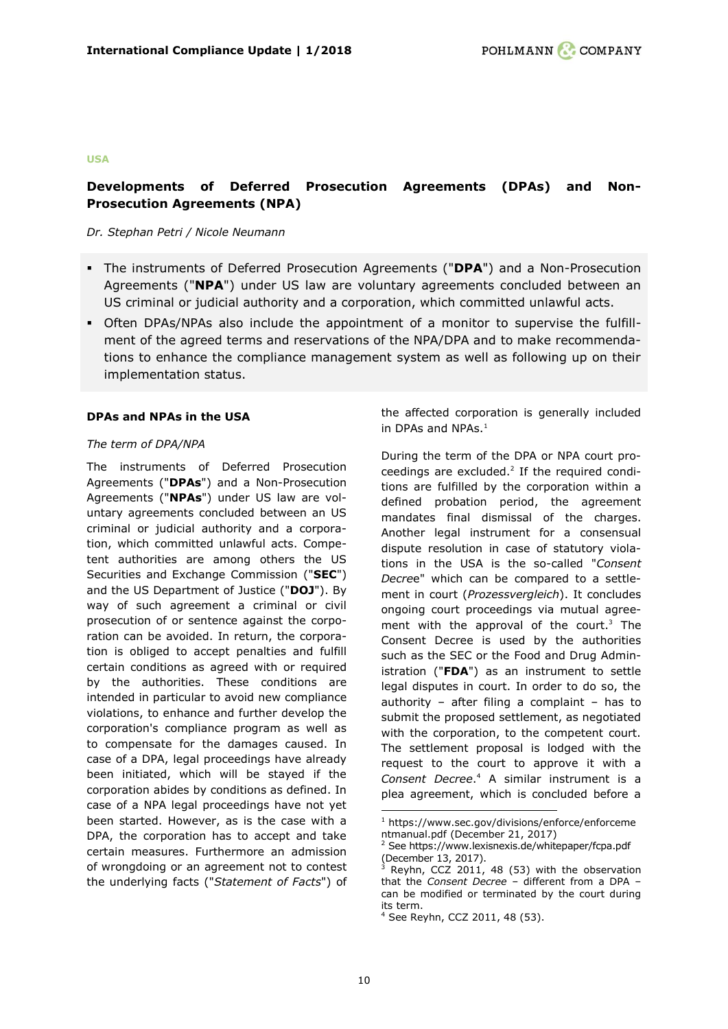#### **USA**

# <span id="page-9-0"></span>**Developments of Deferred Prosecution Agreements (DPAs) and Non-Prosecution Agreements (NPA)**

#### *Dr. Stephan Petri / Nicole Neumann*

- The instruments of Deferred Prosecution Agreements ("**DPA**") and a Non-Prosecution Agreements ("**NPA**") under US law are voluntary agreements concluded between an US criminal or judicial authority and a corporation, which committed unlawful acts.
- Often DPAs/NPAs also include the appointment of a monitor to supervise the fulfillment of the agreed terms and reservations of the NPA/DPA and to make recommendations to enhance the compliance management system as well as following up on their implementation status.

#### **DPAs and NPAs in the USA**

#### *The term of DPA/NPA*

The instruments of Deferred Prosecution Agreements ("**DPAs**") and a Non-Prosecution Agreements ("**NPAs**") under US law are voluntary agreements concluded between an US criminal or judicial authority and a corporation, which committed unlawful acts. Competent authorities are among others the US Securities and Exchange Commission ("**SEC**") and the US Department of Justice ("**DOJ**"). By way of such agreement a criminal or civil prosecution of or sentence against the corporation can be avoided. In return, the corporation is obliged to accept penalties and fulfill certain conditions as agreed with or required by the authorities. These conditions are intended in particular to avoid new compliance violations, to enhance and further develop the corporation's compliance program as well as to compensate for the damages caused. In case of a DPA, legal proceedings have already been initiated, which will be stayed if the corporation abides by conditions as defined. In case of a NPA legal proceedings have not yet been started. However, as is the case with a DPA, the corporation has to accept and take certain measures. Furthermore an admission of wrongdoing or an agreement not to contest the underlying facts ("*Statement of Facts*") of the affected corporation is generally included in DPAs and NPAs.<sup>1</sup>

During the term of the DPA or NPA court proceedings are excluded. $2$  If the required conditions are fulfilled by the corporation within a defined probation period, the agreement mandates final dismissal of the charges. Another legal instrument for a consensual dispute resolution in case of statutory violations in the USA is the so-called "*Consent Decre*e" which can be compared to a settlement in court (*Prozessvergleich*). It concludes ongoing court proceedings via mutual agreement with the approval of the court. $3$  The Consent Decree is used by the authorities such as the SEC or the Food and Drug Administration ("**FDA**") as an instrument to settle legal disputes in court. In order to do so, the authority – after filing a complaint – has to submit the proposed settlement, as negotiated with the corporation, to the competent court. The settlement proposal is lodged with the request to the court to approve it with a *Consent Decree*. <sup>4</sup> A similar instrument is a plea agreement, which is concluded before a

 $1$  [https://www.sec.gov/divisions/enforce/enforceme](https://www.sec.gov/divisions/enforce/enforcementmanual.pdf) [ntmanual.pdf](https://www.sec.gov/divisions/enforce/enforcementmanual.pdf) (December 21, 2017)

<sup>2</sup> Se[e https://www.lexisnexis.de/whitepaper/fcpa.pdf](https://www.lexisnexis.de/whitepaper/fcpa.pdf) (December 13, 2017).

 $3$  Reyhn, CCZ 2011, 48 (53) with the observation that the *Consent Decree* – different from a DPA – can be modified or terminated by the court during its term.

<sup>4</sup> See Reyhn, CCZ 2011, 48 (53).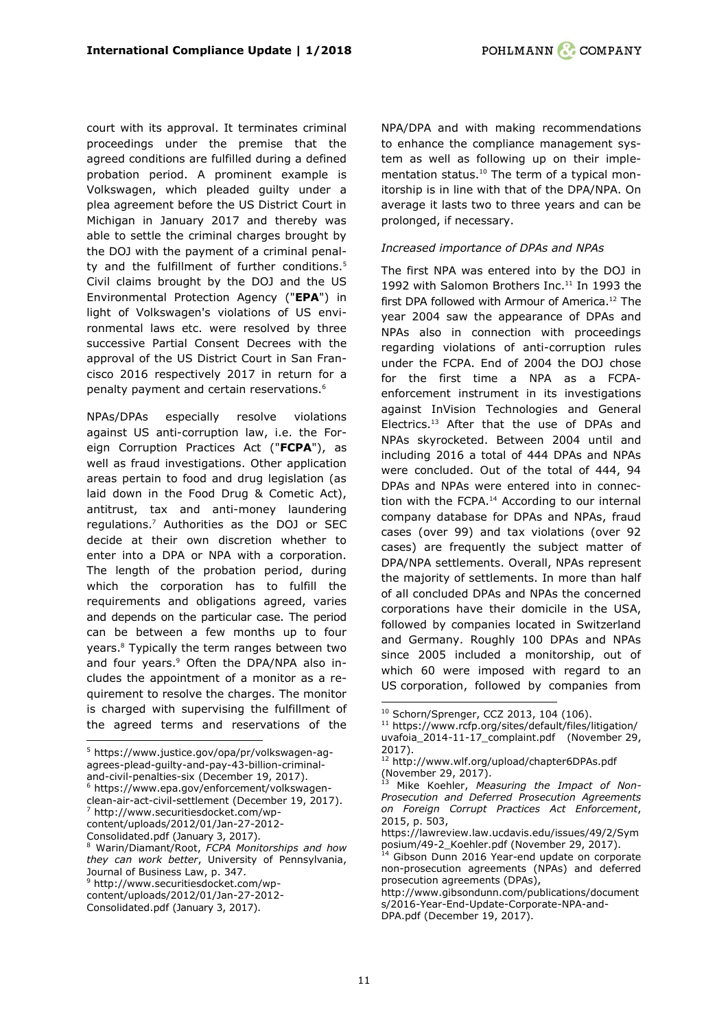court with its approval. It terminates criminal proceedings under the premise that the agreed conditions are fulfilled during a defined probation period. A prominent example is Volkswagen, which pleaded guilty under a plea agreement before the US District Court in Michigan in January 2017 and thereby was able to settle the criminal charges brought by the DOJ with the payment of a criminal penalty and the fulfillment of further conditions.<sup>5</sup> Civil claims brought by the DOJ and the US Environmental Protection Agency ("**EPA**") in light of Volkswagen's violations of US environmental laws etc. were resolved by three successive Partial Consent Decrees with the approval of the US District Court in San Francisco 2016 respectively 2017 in return for a penalty payment and certain reservations.<sup>6</sup>

NPAs/DPAs especially resolve violations against US anti-corruption law, i.e. the Foreign Corruption Practices Act ("**FCPA**"), as well as fraud investigations. Other application areas pertain to food and drug legislation (as laid down in the Food Drug & Cometic Act), antitrust, tax and anti-money laundering regulations.<sup>7</sup> Authorities as the DOJ or SEC decide at their own discretion whether to enter into a DPA or NPA with a corporation. The length of the probation period, during which the corporation has to fulfill the requirements and obligations agreed, varies and depends on the particular case. The period can be between a few months up to four years.<sup>8</sup> Typically the term ranges between two and four years.<sup>9</sup> Often the DPA/NPA also includes the appointment of a monitor as a requirement to resolve the charges. The monitor is charged with supervising the fulfillment of the agreed terms and reservations of the

<sup>6</sup> [https://www.epa.gov/enforcement/volkswagen-](https://www.epa.gov/enforcement/volkswagen-clean-air-act-civil-settlement)

content/uploads/2012/01/Jan-27-2012-

ł

NPA/DPA and with making recommendations to enhance the compliance management system as well as following up on their implementation status.<sup>10</sup> The term of a typical monitorship is in line with that of the DPA/NPA. On average it lasts two to three years and can be prolonged, if necessary.

#### *Increased importance of DPAs and NPAs*

The first NPA was entered into by the DOJ in 1992 with Salomon Brothers Inc. <sup>11</sup> In 1993 the first DPA followed with Armour of America.<sup>12</sup> The year 2004 saw the appearance of DPAs and NPAs also in connection with proceedings regarding violations of anti-corruption rules under the FCPA. End of 2004 the DOJ chose for the first time a NPA as a FCPAenforcement instrument in its investigations against InVision Technologies and General Electrics.<sup>13</sup> After that the use of DPAs and NPAs skyrocketed. Between 2004 until and including 2016 a total of 444 DPAs and NPAs were concluded. Out of the total of 444, 94 DPAs and NPAs were entered into in connection with the FCPA.<sup>14</sup> According to our internal company database for DPAs and NPAs, fraud cases (over 99) and tax violations (over 92 cases) are frequently the subject matter of DPA/NPA settlements. Overall, NPAs represent the majority of settlements. In more than half of all concluded DPAs and NPAs the concerned corporations have their domicile in the USA, followed by companies located in Switzerland and Germany. Roughly 100 DPAs and NPAs since 2005 included a monitorship, out of which 60 were imposed with regard to an US corporation, followed by companies from

[DPA.pdf](http://www.gibsondunn.com/publications/documents/2016-Year-End-Update-Corporate-NPA-and-DPA.pdf) (December 19, 2017).

<sup>5</sup> [https://www.justice.gov/opa/pr/volkswagen-ag](https://www.justice.gov/opa/pr/volkswagen-ag-agrees-plead-guilty-and-pay-43-billion-criminal-and-civil-penalties-six)[agrees-plead-guilty-and-pay-43-billion-criminal](https://www.justice.gov/opa/pr/volkswagen-ag-agrees-plead-guilty-and-pay-43-billion-criminal-and-civil-penalties-six)[and-civil-penalties-six](https://www.justice.gov/opa/pr/volkswagen-ag-agrees-plead-guilty-and-pay-43-billion-criminal-and-civil-penalties-six) (December 19, 2017).

[clean-air-act-civil-settlement](https://www.epa.gov/enforcement/volkswagen-clean-air-act-civil-settlement) (December 19, 2017). <sup>7</sup> http://www.securitiesdocket.com/wp-

Consolidated.pdf (January 3, 2017).

<sup>8</sup> Warin/Diamant/Root, *FCPA Monitorships and how they can work better*, University of Pennsylvania, Journal of Business Law, p. 347.

<sup>9</sup> http://www.securitiesdocket.com/wp-

content/uploads/2012/01/Jan-27-2012-

Consolidated.pdf (January 3, 2017).

<sup>10</sup> Schorn/Sprenger, CCZ 2013, 104 (106).

<sup>11</sup> [https://www.rcfp.org/sites/default/files/litigation/](https://www.rcfp.org/sites/default/files/litigation/uvafoia_2014-11-17_complaint.pdf) [uvafoia\\_2014-11-17\\_complaint.pdf](https://www.rcfp.org/sites/default/files/litigation/uvafoia_2014-11-17_complaint.pdf) (November 29, 2017).

<sup>12</sup> <http://www.wlf.org/upload/chapter6DPAs.pdf> (November 29, 2017).

Mike Koehler, Measuring the Impact of Non-*Prosecution and Deferred Prosecution Agreements on Foreign Corrupt Practices Act Enforcement*, 2015, p. 503,

[https://lawreview.law.ucdavis.edu/issues/49/2/Sym](https://lawreview.law.ucdavis.edu/issues/49/2/Symposium/49-2_Koehler.pdf) [posium/49-2\\_Koehler.pdf](https://lawreview.law.ucdavis.edu/issues/49/2/Symposium/49-2_Koehler.pdf) (November 29, 2017).<br><sup>14</sup> Gibson Dury 2015 V.

Gibson Dunn 2016 Year-end update on corporate non-prosecution agreements (NPAs) and deferred prosecution agreements (DPAs),

[http://www.gibsondunn.com/publications/document](http://www.gibsondunn.com/publications/documents/2016-Year-End-Update-Corporate-NPA-and-DPA.pdf) [s/2016-Year-End-Update-Corporate-NPA-and-](http://www.gibsondunn.com/publications/documents/2016-Year-End-Update-Corporate-NPA-and-DPA.pdf)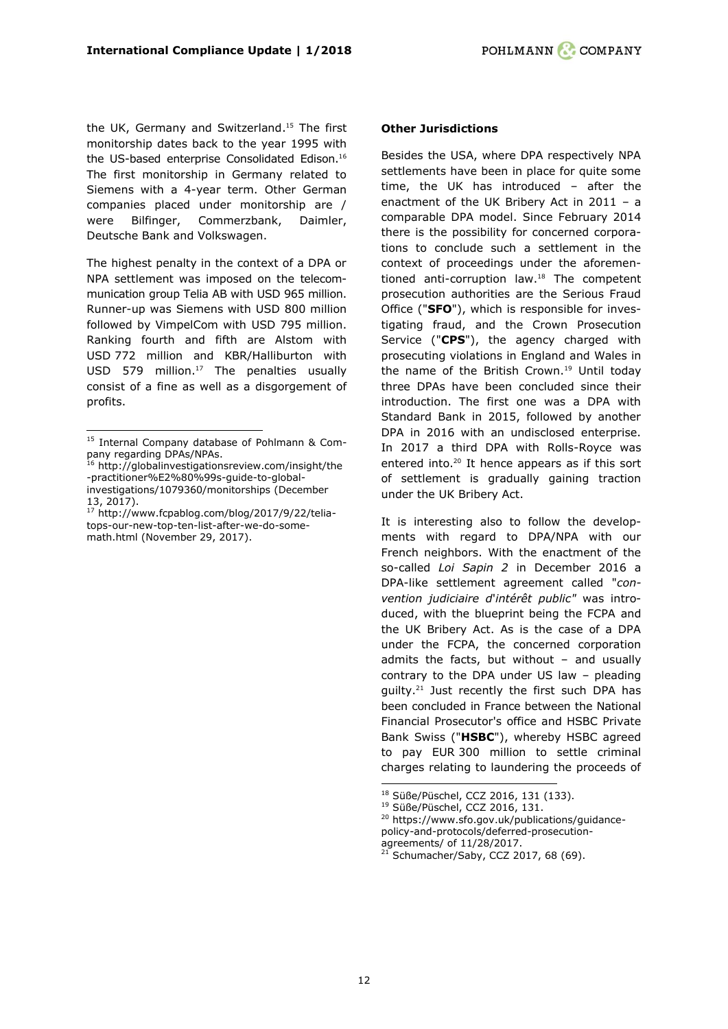the UK, Germany and Switzerland. <sup>15</sup> The first monitorship dates back to the year 1995 with the US-based enterprise Consolidated Edison.<sup>16</sup> The first monitorship in Germany related to Siemens with a 4-year term. Other German companies placed under monitorship are / were Bilfinger, Commerzbank, Daimler, Deutsche Bank and Volkswagen.

The highest penalty in the context of a DPA or NPA settlement was imposed on the telecommunication group Telia AB with USD 965 million. Runner-up was Siemens with USD 800 million followed by VimpelCom with USD 795 million. Ranking fourth and fifth are Alstom with USD 772 million and KBR/Halliburton with USD 579 million. <sup>17</sup> The penalties usually consist of a fine as well as a disgorgement of profits.

ł

## **Other Jurisdictions**

Besides the USA, where DPA respectively NPA settlements have been in place for quite some time, the UK has introduced – after the enactment of the UK Bribery Act in 2011 – a comparable DPA model. Since February 2014 there is the possibility for concerned corporations to conclude such a settlement in the context of proceedings under the aforementioned anti-corruption law.<sup>18</sup> The competent prosecution authorities are the Serious Fraud Office ("**SFO**"), which is responsible for investigating fraud, and the Crown Prosecution Service ("**CPS**"), the agency charged with prosecuting violations in England and Wales in the name of the British Crown.<sup>19</sup> Until today three DPAs have been concluded since their introduction. The first one was a DPA with Standard Bank in 2015, followed by another DPA in 2016 with an undisclosed enterprise. In 2017 a third DPA with Rolls-Royce was entered into. <sup>20</sup> It hence appears as if this sort of settlement is gradually gaining traction under the UK Bribery Act.

It is interesting also to follow the developments with regard to DPA/NPA with our French neighbors. With the enactment of the so-called *Loi Sapin 2* in December 2016 a DPA-like settlement agreement called "*convention judiciaire d*'*intérêt public"* was introduced, with the blueprint being the FCPA and the UK Bribery Act. As is the case of a DPA under the FCPA, the concerned corporation admits the facts, but without – and usually contrary to the DPA under US law – pleading guilty. <sup>21</sup> Just recently the first such DPA has been concluded in France between the National Financial Prosecutor's office and HSBC Private Bank Swiss ("**HSBC**"), whereby HSBC agreed to pay EUR 300 million to settle criminal charges relating to laundering the proceeds of

<sup>15</sup> Internal Company database of Pohlmann & Company regarding DPAs/NPAs.

<sup>&</sup>lt;sup>16</sup> [http://globalinvestigationsreview.com/insight/the](http://globalinvestigationsreview.com/insight/the-practitioner%E2%80%99s-guide-to-global-investigations/1079360/monitorships) [-practitioner%E2%80%99s-guide-to-global](http://globalinvestigationsreview.com/insight/the-practitioner%E2%80%99s-guide-to-global-investigations/1079360/monitorships)[investigations/1079360/monitorships](http://globalinvestigationsreview.com/insight/the-practitioner%E2%80%99s-guide-to-global-investigations/1079360/monitorships) (December 13, 2017).

<sup>17</sup> [http://www.fcpablog.com/blog/2017/9/22/telia](http://www.fcpablog.com/blog/2017/9/22/telia-tops-our-new-top-ten-list-after-we-do-some-math.html)[tops-our-new-top-ten-list-after-we-do-some](http://www.fcpablog.com/blog/2017/9/22/telia-tops-our-new-top-ten-list-after-we-do-some-math.html)[math.html](http://www.fcpablog.com/blog/2017/9/22/telia-tops-our-new-top-ten-list-after-we-do-some-math.html) (November 29, 2017).

<sup>18</sup> Süße/Püschel, CCZ 2016, 131 (133).

<sup>19</sup> Süße/Püschel, CCZ 2016, 131.

<sup>20</sup> [https://www.sfo.gov.uk/publications/guidance](https://www.sfo.gov.uk/publications/guidance-policy-and-protocols/deferred-prosecution-agreements/)[policy-and-protocols/deferred-prosecution-](https://www.sfo.gov.uk/publications/guidance-policy-and-protocols/deferred-prosecution-agreements/)

[agreements/](https://www.sfo.gov.uk/publications/guidance-policy-and-protocols/deferred-prosecution-agreements/) of 11/28/2017.  $21$  Schumacher/Saby, CCZ 2017, 68 (69).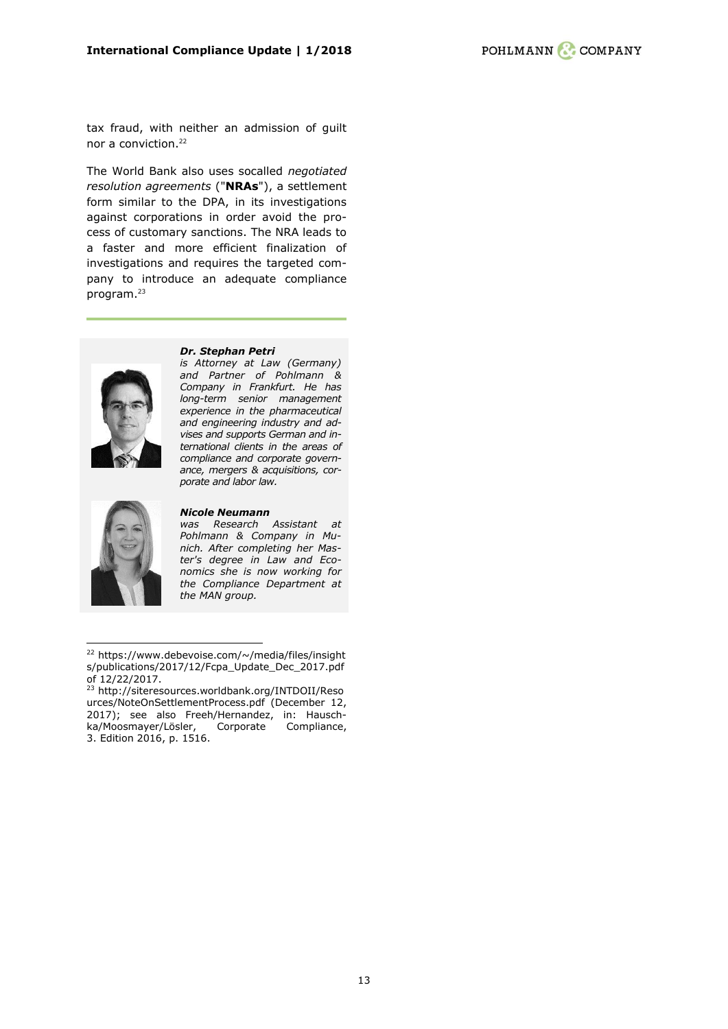tax fraud, with neither an admission of guilt nor a conviction. 22

The World Bank also uses socalled *negotiated resolution agreements* ("**NRAs**"), a settlement form similar to the DPA, in its investigations against corporations in order avoid the process of customary sanctions. The NRA leads to a faster and more efficient finalization of investigations and requires the targeted company to introduce an adequate compliance program.<sup>23</sup>



#### *[Dr. Stephan Petri](https://www.pohlmann-company.com/en/people/dr-stephan-petri)*

*is Attorney at Law (Germany) and Partner of Pohlmann & Company in Frankfurt. He has long-term senior management experience in the pharmaceutical and engineering industry and advises and supports German and international clients in the areas of compliance and corporate governance, mergers & acquisitions, corporate and labor law.*



ł

#### *Nicole Neumann*

*was Research Assistant at Pohlmann & Company in Munich. After completing her Master's degree in Law and Economics she is now working for the Compliance Department at the MAN group.*

<sup>&</sup>lt;sup>22</sup> [https://www.debevoise.com/~/media/files/insight](https://www.debevoise.com/~/media/files/insights/publications/2017/12/Fcpa_Update_Dec_2017.pdf) [s/publications/2017/12/Fcpa\\_Update\\_Dec\\_2017.pdf](https://www.debevoise.com/~/media/files/insights/publications/2017/12/Fcpa_Update_Dec_2017.pdf) of 12/22/2017.

<sup>23</sup> [http://siteresources.worldbank.org/INTDOII/Reso](http://siteresources.worldbank.org/INTDOII/Resources/NoteOnSettlementProcess.pdf%20(December%2012,%202017)) [urces/NoteOnSettlementProcess.pdf \(December 12,](http://siteresources.worldbank.org/INTDOII/Resources/NoteOnSettlementProcess.pdf%20(December%2012,%202017))  [2017\);](http://siteresources.worldbank.org/INTDOII/Resources/NoteOnSettlementProcess.pdf%20(December%2012,%202017)) see also Freeh/Hernandez, in: Hauschka/Moosmayer/Lösler, Corporate Compliance, 3. Edition 2016, p. 1516.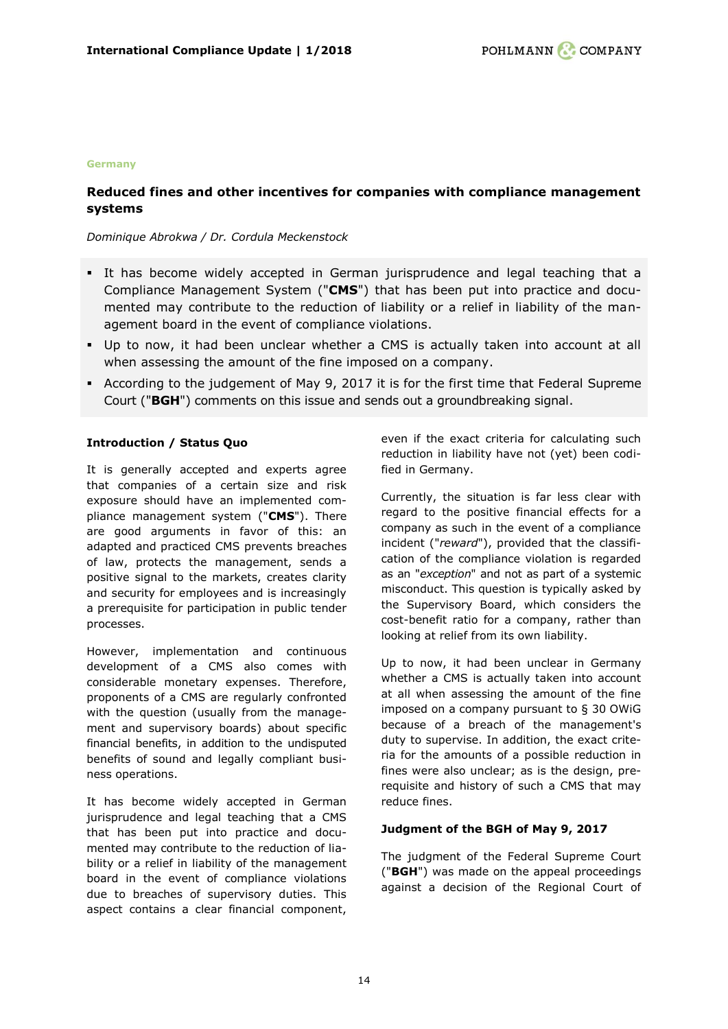#### **Germany**

# <span id="page-13-0"></span>**Reduced fines and other incentives for companies with compliance management systems**

## *Dominique Abrokwa / Dr. Cordula Meckenstock*

- It has become widely accepted in German jurisprudence and legal teaching that a Compliance Management System ("**CMS**") that has been put into practice and documented may contribute to the reduction of liability or a relief in liability of the management board in the event of compliance violations.
- Up to now, it had been unclear whether a CMS is actually taken into account at all when assessing the amount of the fine imposed on a company.
- According to the judgement of May 9, 2017 it is for the first time that Federal Supreme Court ("**BGH**") comments on this issue and sends out a groundbreaking signal.

## **Introduction / Status Quo**

It is generally accepted and experts agree that companies of a certain size and risk exposure should have an implemented compliance management system ("**CMS**"). There are good arguments in favor of this: an adapted and practiced CMS prevents breaches of law, protects the management, sends a positive signal to the markets, creates clarity and security for employees and is increasingly a prerequisite for participation in public tender processes.

However, implementation and continuous development of a CMS also comes with considerable monetary expenses. Therefore, proponents of a CMS are regularly confronted with the question (usually from the management and supervisory boards) about specific financial benefits, in addition to the undisputed benefits of sound and legally compliant business operations.

It has become widely accepted in German jurisprudence and legal teaching that a CMS that has been put into practice and documented may contribute to the reduction of liability or a relief in liability of the management board in the event of compliance violations due to breaches of supervisory duties. This aspect contains a clear financial component,

even if the exact criteria for calculating such reduction in liability have not (yet) been codified in Germany.

Currently, the situation is far less clear with regard to the positive financial effects for a company as such in the event of a compliance incident ("*reward*"), provided that the classification of the compliance violation is regarded as an "*exception*" and not as part of a systemic misconduct. This question is typically asked by the Supervisory Board, which considers the cost-benefit ratio for a company, rather than looking at relief from its own liability.

Up to now, it had been unclear in Germany whether a CMS is actually taken into account at all when assessing the amount of the fine imposed on a company pursuant to § 30 OWiG because of a breach of the management's duty to supervise. In addition, the exact criteria for the amounts of a possible reduction in fines were also unclear; as is the design, prerequisite and history of such a CMS that may reduce fines.

## **Judgment of the BGH of May 9, 2017**

The judgment of the Federal Supreme Court ("**BGH**") was made on the appeal proceedings against a decision of the Regional Court of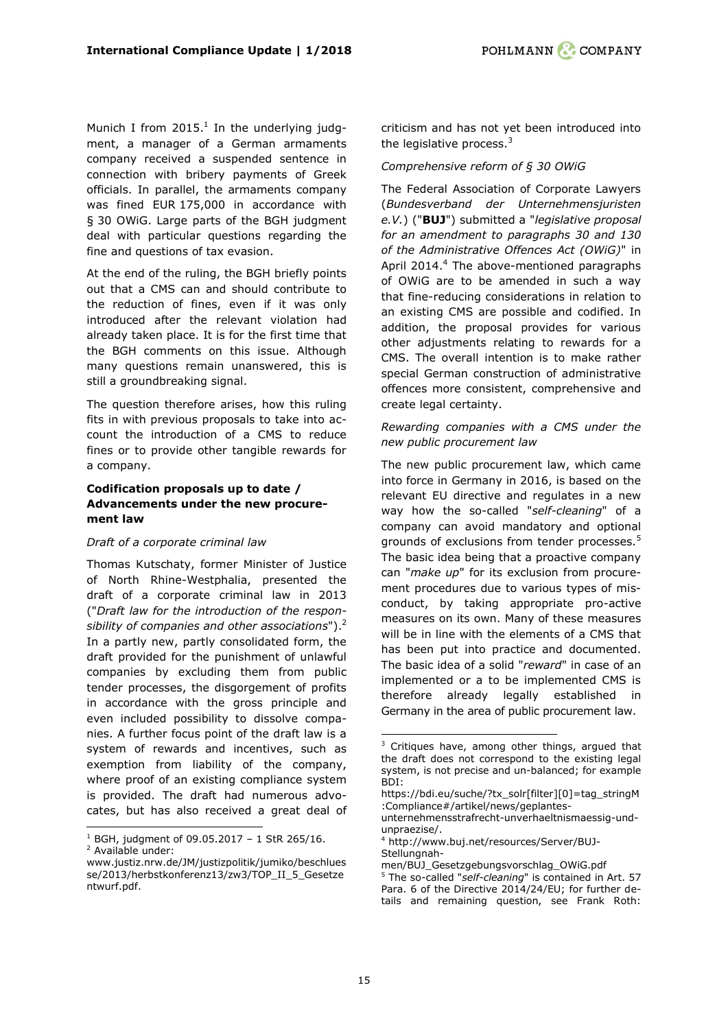Munich I from  $2015.<sup>1</sup>$  In the underlying judgment, a manager of a German armaments company received a suspended sentence in connection with bribery payments of Greek officials. In parallel, the armaments company was fined EUR 175,000 in accordance with § 30 OWiG. Large parts of the BGH judgment deal with particular questions regarding the fine and questions of tax evasion.

At the end of the ruling, the BGH briefly points out that a CMS can and should contribute to the reduction of fines, even if it was only introduced after the relevant violation had already taken place. It is for the first time that the BGH comments on this issue. Although many questions remain unanswered, this is still a groundbreaking signal.

The question therefore arises, how this ruling fits in with previous proposals to take into account the introduction of a CMS to reduce fines or to provide other tangible rewards for a company.

## **Codification proposals up to date / Advancements under the new procurement law**

## *Draft of a corporate criminal law*

Thomas Kutschaty, former Minister of Justice of North Rhine-Westphalia, presented the draft of a corporate criminal law in 2013 ("*Draft law for the introduction of the responsibility of companies and other associations*").<sup>2</sup> In a partly new, partly consolidated form, the draft provided for the punishment of unlawful companies by excluding them from public tender processes, the disgorgement of profits in accordance with the gross principle and even included possibility to dissolve companies. A further focus point of the draft law is a system of rewards and incentives, such as exemption from liability of the company, where proof of an existing compliance system is provided. The draft had numerous advocates, but has also received a great deal of

ł

criticism and has not yet been introduced into the legislative process. $3$ 

## *Comprehensive reform of § 30 OWiG*

The Federal Association of Corporate Lawyers (*Bundesverband der Unternehmensjuristen e.V.*) ("**BUJ**") submitted a "*legislative proposal for an amendment to paragraphs 30 and 130 of the Administrative Offences Act (OWiG)*" in April 2014.<sup>4</sup> The above-mentioned paragraphs of OWiG are to be amended in such a way that fine-reducing considerations in relation to an existing CMS are possible and codified. In addition, the proposal provides for various other adjustments relating to rewards for a CMS. The overall intention is to make rather special German construction of administrative offences more consistent, comprehensive and create legal certainty.

## *Rewarding companies with a CMS under the new public procurement law*

The new public procurement law, which came into force in Germany in 2016, is based on the relevant EU directive and regulates in a new way how the so-called "*self-cleaning*" of a company can avoid mandatory and optional grounds of exclusions from tender processes.<sup>5</sup> The basic idea being that a proactive company can "*make up*" for its exclusion from procurement procedures due to various types of misconduct, by taking appropriate pro-active measures on its own. Many of these measures will be in line with the elements of a CMS that has been put into practice and documented. The basic idea of a solid "*reward*" in case of an implemented or a to be implemented CMS is therefore already legally established in Germany in the area of public procurement law.

 $1$  BGH, judgment of 09.05.2017 - 1 StR 265/16.

<sup>2</sup> Available under:

www.justiz.nrw.de/JM/justizpolitik/jumiko/beschlues se/2013/herbstkonferenz13/zw3/TOP\_II\_5\_Gesetze ntwurf.pdf.

<sup>&</sup>lt;sup>3</sup> Critiques have, among other things, argued that the draft does not correspond to the existing legal system, is not precise and un-balanced; for example BDI:

[https://bdi.eu/suche/?tx\\_solr\[filter\]\[0\]=tag\\_stringM](https://bdi.eu/suche/?tx_solr%5bfilter%5d%5b0%5d=tag_stringM:Compliance#/artikel/news/geplantes-unternehmensstrafrecht-unverhaeltnismaessig-und-unpraezise/) [:Compliance#/artikel/news/geplantes-](https://bdi.eu/suche/?tx_solr%5bfilter%5d%5b0%5d=tag_stringM:Compliance#/artikel/news/geplantes-unternehmensstrafrecht-unverhaeltnismaessig-und-unpraezise/)

[unternehmensstrafrecht-unverhaeltnismaessig-und](https://bdi.eu/suche/?tx_solr%5bfilter%5d%5b0%5d=tag_stringM:Compliance#/artikel/news/geplantes-unternehmensstrafrecht-unverhaeltnismaessig-und-unpraezise/)[unpraezise/.](https://bdi.eu/suche/?tx_solr%5bfilter%5d%5b0%5d=tag_stringM:Compliance#/artikel/news/geplantes-unternehmensstrafrecht-unverhaeltnismaessig-und-unpraezise/)

<sup>4</sup> [http://www.buj.net/resources/Server/BUJ-](http://www.buj.net/resources/Server/BUJ-Stellungnahmen/BUJ_Gesetzgebungsvorschlag_OWiG.pdf)[Stellungnah-](http://www.buj.net/resources/Server/BUJ-Stellungnahmen/BUJ_Gesetzgebungsvorschlag_OWiG.pdf)

[men/BUJ\\_Gesetzgebungsvorschlag\\_OWiG.pdf](http://www.buj.net/resources/Server/BUJ-Stellungnahmen/BUJ_Gesetzgebungsvorschlag_OWiG.pdf) <sup>5</sup> The so-called "*self-cleaning*" is contained in Art. 57 Para. 6 of the Directive 2014/24/EU; for further details and remaining question, see Frank Roth: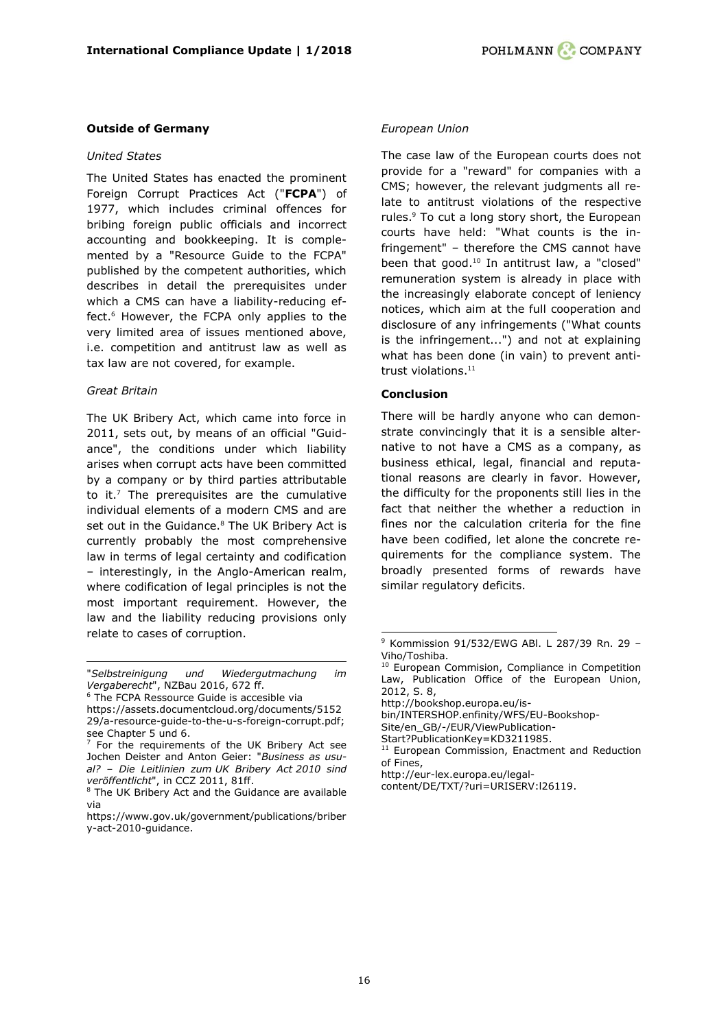#### **Outside of Germany**

#### *United States*

The United States has enacted the prominent Foreign Corrupt Practices Act ("**FCPA**") of 1977, which includes criminal offences for bribing foreign public officials and incorrect accounting and bookkeeping. It is complemented by a "Resource Guide to the FCPA" published by the competent authorities, which describes in detail the prerequisites under which a CMS can have a liability-reducing effect.<sup>6</sup> However, the FCPA only applies to the very limited area of issues mentioned above, i.e. competition and antitrust law as well as tax law are not covered, for example.

#### *Great Britain*

The UK Bribery Act, which came into force in 2011, sets out, by means of an official "Guidance", the conditions under which liability arises when corrupt acts have been committed by a company or by third parties attributable to it. $<sup>7</sup>$  The prerequisites are the cumulative</sup> individual elements of a modern CMS and are set out in the Guidance.<sup>8</sup> The UK Bribery Act is currently probably the most comprehensive law in terms of legal certainty and codification – interestingly, in the Anglo-American realm, where codification of legal principles is not the most important requirement. However, the law and the liability reducing provisions only relate to cases of corruption.

#### *European Union*

The case law of the European courts does not provide for a "reward" for companies with a CMS; however, the relevant judgments all relate to antitrust violations of the respective rules.<sup>9</sup> To cut a long story short, the European courts have held: "What counts is the infringement" – therefore the CMS cannot have been that good.<sup>10</sup> In antitrust law, a "closed" remuneration system is already in place with the increasingly elaborate concept of leniency notices, which aim at the full cooperation and disclosure of any infringements ("What counts is the infringement...") and not at explaining what has been done (in vain) to prevent antitrust violations.<sup>11</sup>

#### **Conclusion**

-

There will be hardly anyone who can demonstrate convincingly that it is a sensible alternative to not have a CMS as a company, as business ethical, legal, financial and reputational reasons are clearly in favor. However, the difficulty for the proponents still lies in the fact that neither the whether a reduction in fines nor the calculation criteria for the fine have been codified, let alone the concrete requirements for the compliance system. The broadly presented forms of rewards have similar regulatory deficits.

[http://bookshop.europa.eu/is-](http://bookshop.europa.eu/is-bin/INTERSHOP.enfinity/WFS/EU-Bookshop-Site/en_GB/-/EUR/ViewPublication-Start?PublicationKey=KD3211985)

[Site/en\\_GB/-/EUR/ViewPublication-](http://bookshop.europa.eu/is-bin/INTERSHOP.enfinity/WFS/EU-Bookshop-Site/en_GB/-/EUR/ViewPublication-Start?PublicationKey=KD3211985)

[Start?PublicationKey=KD3211985.](http://bookshop.europa.eu/is-bin/INTERSHOP.enfinity/WFS/EU-Bookshop-Site/en_GB/-/EUR/ViewPublication-Start?PublicationKey=KD3211985)

ł "*Selbstreinigung und Wiedergutmachung im Vergaberecht*", NZBau 2016, 672 ff.

<sup>&</sup>lt;sup>6</sup> The FCPA Ressource Guide is accesible via

[https://assets.documentcloud.org/documents/5152](https://assets.documentcloud.org/documents/515229/a-resource-guide-to-the-u-s-foreign-corrupt.pdf) [29/a-resource-guide-to-the-u-s-foreign-corrupt.pdf;](https://assets.documentcloud.org/documents/515229/a-resource-guide-to-the-u-s-foreign-corrupt.pdf) see Chapter 5 und 6.

 $7$  For the requirements of the UK Bribery Act see Jochen Deister and Anton Geier: "*Business as usual? – Die Leitlinien zum UK Bribery Act 2010 sind veröffentlicht*", in CCZ 2011, 81ff.

<sup>8</sup> The UK Bribery Act and the Guidance are available via

[https://www.gov.uk/government/publications/briber](https://www.gov.uk/government/publications/bribery-act-2010-guidance) [y-act-2010-guidance.](https://www.gov.uk/government/publications/bribery-act-2010-guidance)

<sup>9</sup> Kommission 91/532/EWG ABl. L 287/39 Rn. 29 – Viho/Toshiba.

<sup>&</sup>lt;sup>10</sup> European Commision, Compliance in Competition Law, Publication Office of the European Union, 2012, S. 8,

[bin/INTERSHOP.enfinity/WFS/EU-Bookshop-](http://bookshop.europa.eu/is-bin/INTERSHOP.enfinity/WFS/EU-Bookshop-Site/en_GB/-/EUR/ViewPublication-Start?PublicationKey=KD3211985)

<sup>&</sup>lt;sup>11</sup> European Commission, Enactment and Reduction of Fines,

[http://eur-lex.europa.eu/legal-](http://eur-lex.europa.eu/legal-content/DE/TXT/?uri=URISERV:l26119)

[content/DE/TXT/?uri=URISERV:l26119.](http://eur-lex.europa.eu/legal-content/DE/TXT/?uri=URISERV:l26119)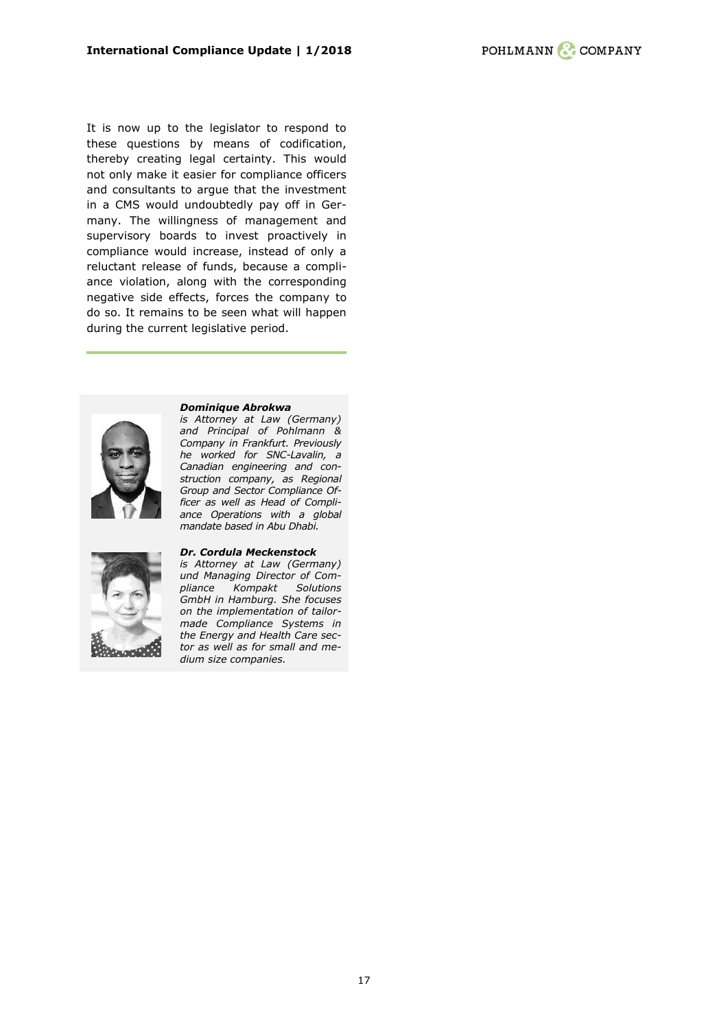It is now up to the legislator to respond to these questions by means of codification, thereby creating legal certainty. This would not only make it easier for compliance officers and consultants to argue that the investment in a CMS would undoubtedly pay off in Germany. The willingness of management and supervisory boards to invest proactively in compliance would increase, instead of only a reluctant release of funds, because a compliance violation, along with the corresponding negative side effects, forces the company to do so. It remains to be seen what will happen during the current legislative period.



*[Dominique Abrokwa](https://www.pohlmann-company.com/en/people/dominique-abrokwa)*

*is Attorney at Law (Germany) and Principal of Pohlmann & Company in Frankfurt. Previously he worked for SNC-Lavalin, a Canadian engineering and construction company, as Regional Group and Sector Compliance Officer as well as Head of Compliance Operations with a global mandate based in Abu Dhabi.*



#### *[Dr. Cordula Meckenstock](https://www.compliancekompakt.de/ueber-uns/)*

*is Attorney at Law (Germany) und Managing Director of Compliance Kompakt Solutions GmbH in Hamburg. She focuses on the implementation of tailormade Compliance Systems in the Energy and Health Care sector as well as for small and medium size companies.*